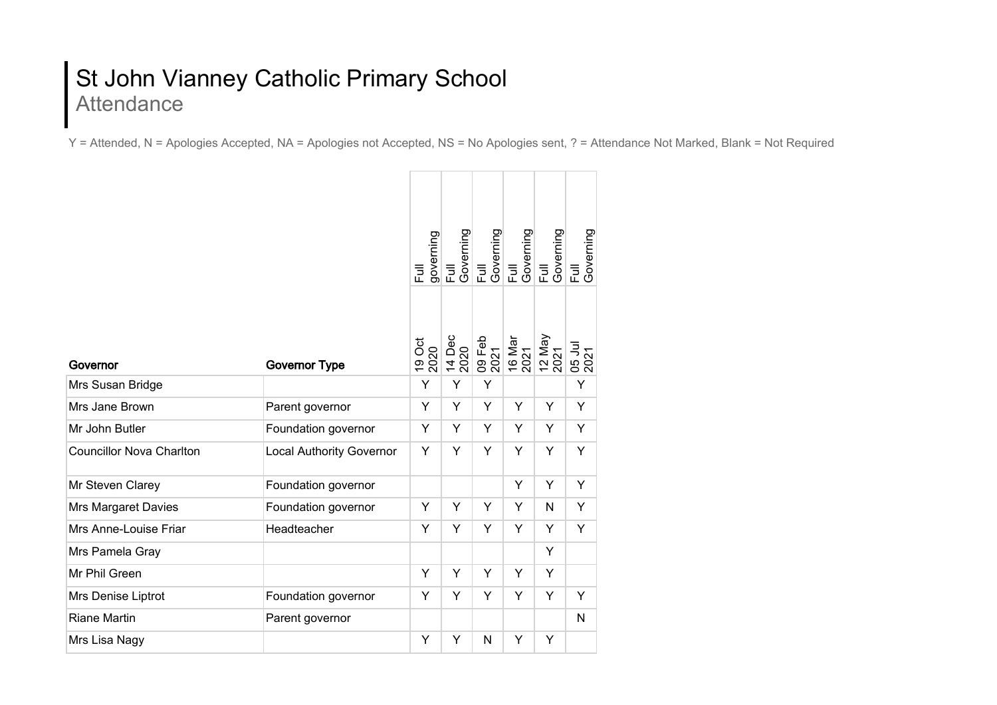## St John Vianney Catholic Primary School Attendance

Y = Attended, N = Apologies Accepted, NA = Apologies not Accepted, NS = No Apologies sent, ? = Attendance Not Marked, Blank = Not Required

|                                 |                                 | governing<br>巨 | Full<br>Governing | Full<br>Governing<br>Full |                | Governing<br>Full<br>Governing | Governing<br>Full |
|---------------------------------|---------------------------------|----------------|-------------------|---------------------------|----------------|--------------------------------|-------------------|
| Governor                        | <b>Governor Type</b>            | 19 Oct<br>2020 | 14 Dec<br>2020    | 09 Feb<br>2021            | 16 Mar<br>2021 | 12 May<br>2021                 | 05 Jul<br>2021    |
| Mrs Susan Bridge                |                                 | Y              | Y                 | Y                         |                |                                | Y                 |
| Mrs Jane Brown                  | Parent governor                 | Y              | Y                 | Y                         | Y              | Y                              | Υ                 |
| Mr John Butler                  | Foundation governor             | Y              | Y                 | Y                         | Y              | Y                              | Y                 |
| <b>Councillor Nova Charlton</b> | <b>Local Authority Governor</b> | Υ              | Y                 | Y                         | Y              | Y                              | Y                 |
| Mr Steven Clarey                | Foundation governor             |                |                   |                           | Y              | Y                              | Y                 |
| Mrs Margaret Davies             | Foundation governor             | Υ              | Y                 | Y                         | Y              | N                              | Y                 |
| Mrs Anne-Louise Friar           | Headteacher                     | Y              | Y                 | Y                         | Y              | Y                              | Y                 |
| Mrs Pamela Gray                 |                                 |                |                   |                           |                | Y                              |                   |
| Mr Phil Green                   |                                 | Y              | Y                 | Y                         | Y              | Y                              |                   |
| Mrs Denise Liptrot              | Foundation governor             | Y              | Y                 | Y                         | Y              | Y                              | Y                 |
| <b>Riane Martin</b>             | Parent governor                 |                |                   |                           |                |                                | N                 |
| Mrs Lisa Nagy                   |                                 | Y              | Y                 | N                         | Y              | Y                              |                   |